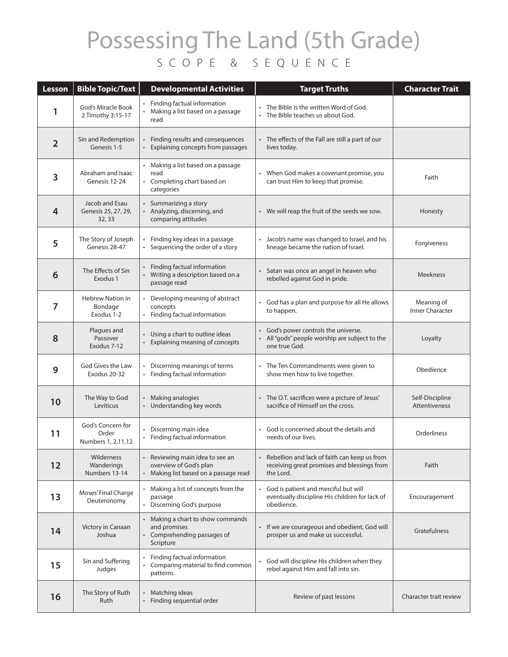## Possessing The Land (5th Grade) SCOPE & SEQUENCE

| Lesson         | <b>Bible Topic/Text</b>                          | <b>Developmental Activities</b>                                                                | <b>Target Truths</b>                                                                                     | <b>Character Trait</b>                  |
|----------------|--------------------------------------------------|------------------------------------------------------------------------------------------------|----------------------------------------------------------------------------------------------------------|-----------------------------------------|
| 1              | God's Miracle Book<br>2 Timothy 3:15-17          | • Finding factual information<br>Making a list based on a passage<br>read                      | • The Bible is the written Word of God.<br>The Bible teaches us about God.                               |                                         |
| $\overline{2}$ | Sin and Redemption<br>Genesis 1-5                | Finding results and consequences<br>Explaining concepts from passages                          | The effects of the Fall are still a part of our<br>lives today.                                          |                                         |
| 3              | Abraham and Isaac<br>Genesis 12-24               | Making a list based on a passage<br>read<br>• Completing chart based on<br>categories          | When God makes a covenant promise, you<br>can trust Him to keep that promise.                            | Faith                                   |
| 4              | Jacob and Esau<br>Genesis 25, 27, 29,<br>32, 33  | Summarizing a story<br>• Analyzing, discerning, and<br>comparing attitudes                     | • We will reap the fruit of the seeds we sow.                                                            | Honesty                                 |
| 5              | The Story of Joseph<br>Genesis 28-47             | Finding key ideas in a passage<br>• Sequencing the order of a story                            | Jacob's name was changed to Israel, and his<br>lineage became the nation of Israel.                      | Forgiveness                             |
| 6              | The Effects of Sin<br>Exodus 1                   | Finding factual information<br>Writing a description based on a<br>passage read                | • Satan was once an angel in heaven who<br>rebelled against God in pride.                                | <b>Meekness</b>                         |
| 7              | <b>Hebrew Nation in</b><br>Bondage<br>Exodus 1-2 | Developing meaning of abstract<br>concepts<br>Finding factual information                      | • God has a plan and purpose for all He allows<br>to happen.                                             | Meaning of<br><b>Inner Character</b>    |
| 8              | Plagues and<br>Passover<br>Exodus 7-12           | Using a chart to outline ideas<br>Explaining meaning of concepts                               | God's power controls the universe.<br>All "gods" people worship are subject to the<br>one true God.      | Loyalty                                 |
| 9              | God Gives the Law<br>Exodus 20-32                | Discerning meanings of terms<br>• Finding factual information                                  | The Ten Commandments were given to<br>show men how to live together.                                     | Obedience                               |
| 10             | The Way to God<br>Leviticus                      | Making analogies<br>• Understanding key words                                                  | • The O.T. sacrifices were a picture of Jesus'<br>sacrifice of Himself on the cross.                     | Self-Discipline<br><b>Attentiveness</b> |
| 11             | God's Concern for<br>Order<br>Numbers 1, 2,11,12 | Discerning main idea<br>Finding factual information                                            | • God is concerned about the details and<br>needs of our lives.                                          | Orderliness                             |
| 12             | Wilderness<br>Wanderings<br>Numbers 13-14        | Reviewing main idea to see an<br>overview of God's plan<br>Making list based on a passage read | Rebellion and lack of faith can keep us from<br>receiving great promises and blessings from<br>the Lord. | Faith                                   |
| 13             | Moses' Final Charge<br>Deuteronomy               | Making a list of concepts from the<br>passage<br>• Discerning God's purpose                    | • God is patient and merciful but will<br>eventually discipline His children for lack of<br>obedience.   | Encouragement                           |
| 14             | Victory in Canaan<br>Joshua                      | • Making a chart to show commands<br>and promises<br>• Comprehending passages of<br>Scripture  | If we are courageous and obedient, God will<br>prosper us and make us successful.                        | Gratefulness                            |
| 15             | Sin and Suffering<br>Judges                      | Finding factual information<br>Comparing material to find common<br>patterns                   | God will discipline His children when they<br>rebel against Him and fall into sin.                       |                                         |
| 16             | The Story of Ruth<br>Ruth                        | Matching ideas<br>Finding sequential order<br>$\bullet$                                        | Review of past lessons                                                                                   | Character trait review                  |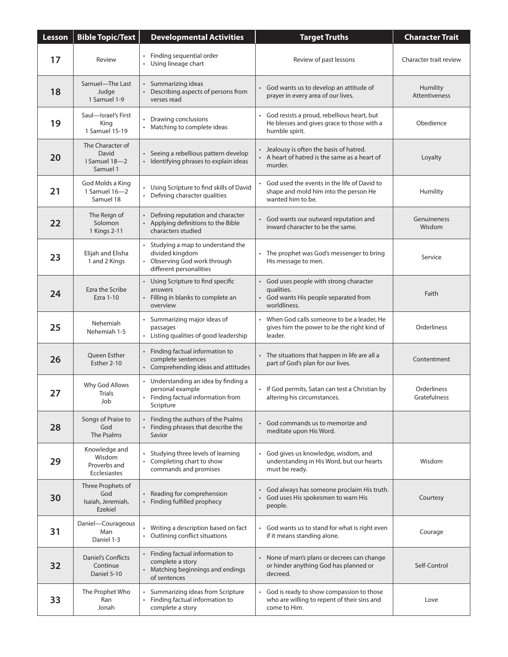| Lesson | <b>Bible Topic/Text</b>                                  | <b>Developmental Activities</b>                                                                                      | <b>Target Truths</b>                                                                                            | <b>Character Trait</b>      |
|--------|----------------------------------------------------------|----------------------------------------------------------------------------------------------------------------------|-----------------------------------------------------------------------------------------------------------------|-----------------------------|
| 17     | Review                                                   | Finding sequential order<br>$\bullet$<br>Using lineage chart                                                         | Review of past lessons                                                                                          | Character trait review      |
| 18     | Samuel-The Last<br>Judge<br>1 Samuel 1-9                 | Summarizing ideas<br>• Describing aspects of persons from<br>verses read                                             | God wants us to develop an attitude of<br>$\bullet$<br>prayer in every area of our lives.                       | Humility<br>Attentiveness   |
| 19     | Saul-Israel's First<br>King<br>1 Samuel 15-19            | Drawing conclusions<br>Matching to complete ideas                                                                    | God resists a proud, rebellious heart, but<br>He blesses and gives grace to those with a<br>humble spirit.      | Obedience                   |
| 20     | The Character of<br>David<br>I Samuel 18-2<br>Samuel 1   | Seeing a rebellious pattern develop<br>• Identifying phrases to explain ideas                                        | Jealousy is often the basis of hatred.<br>$\bullet$<br>• A heart of hatred is the same as a heart of<br>murder. | Loyalty                     |
| 21     | God Molds a King<br>1 Samuel 16-2<br>Samuel 18           | Using Scripture to find skills of David<br>Defining character qualities                                              | God used the events in the life of David to<br>shape and mold him into the person He<br>wanted him to be.       | Humility                    |
| 22     | The Reign of<br>Solomon<br>1 Kings 2-11                  | Defining reputation and character<br>$\bullet$<br>Applying definitions to the Bible<br>characters studied            | God wants our outward reputation and<br>inward character to be the same.                                        | Genuineness<br>Wisdom       |
| 23     | Elijah and Elisha<br>1 and 2 Kings                       | Studying a map to understand the<br>divided kingdom<br>Observing God work through<br>different personalities         | The prophet was God's messenger to bring<br>His message to men.                                                 | Service                     |
| 24     | Ezra the Scribe<br>Ezra 1-10                             | • Using Scripture to find specific<br>answers<br>Filling in blanks to complete an<br>overview                        | • God uses people with strong character<br>qualities.<br>God wants His people separated from<br>worldliness.    | Faith                       |
| 25     | Nehemiah<br>Nehemiah 1-5                                 | Summarizing major ideas of<br>passages<br>• Listing qualities of good leadership                                     | When God calls someone to be a leader, He<br>gives him the power to be the right kind of<br>leader.             | Orderliness                 |
| 26     | Queen Esther<br>Esther 2-10                              | Finding factual information to<br>complete sentences<br>Comprehending ideas and attitudes                            | The situations that happen in life are all a<br>part of God's plan for our lives.                               | Contentment                 |
| 27     | Why God Allows<br><b>Trials</b><br>Job                   | Understanding an idea by finding a<br>personal example<br>Finding factual information from<br>$\bullet$<br>Scripture | If God permits, Satan can test a Christian by<br>altering his circumstances.                                    | Orderliness<br>Gratefulness |
| 28     | Songs of Praise to<br>God<br>The Psalms                  | Finding the authors of the Psalms<br>٠<br>Finding phrases that describe the<br>Savior                                | God commands us to memorize and<br>meditate upon His Word.                                                      |                             |
| 29     | Knowledge and<br>Wisdom<br>Proverbs and<br>Ecclesiastes  | Studying three levels of learning<br>Completing chart to show<br>commands and promises                               | God gives us knowledge, wisdom, and<br>understanding in His Word, but our hearts<br>must be ready.              | Wisdom                      |
| 30     | Three Prophets of<br>God<br>Isaiah, Jeremiah,<br>Ezekiel | Reading for comprehension<br>Finding fulfilled prophecy                                                              | God always has someone proclaim His truth.<br>$\bullet$<br>God uses His spokesmen to warn His<br>people.        | Courtesy                    |
| 31     | Daniel-Courageous<br>Man<br>Daniel 1-3                   | Writing a description based on fact<br>Outlining conflict situations                                                 | God wants us to stand for what is right even<br>if it means standing alone.                                     | Courage                     |
| 32     | Daniel's Conflicts<br>Continue<br>Daniel 5-10            | Finding factual information to<br>complete a story<br>Matching beginnings and endings<br>of sentences                | None of man's plans or decrees can change<br>or hinder anything God has planned or<br>decreed.                  | Self-Control                |
| 33     | The Prophet Who<br>Ran<br>Jonah                          | Summarizing ideas from Scripture<br>Finding factual information to<br>$\bullet$<br>complete a story                  | God is ready to show compassion to those<br>who are willing to repent of their sins and<br>come to Him.         | Love                        |